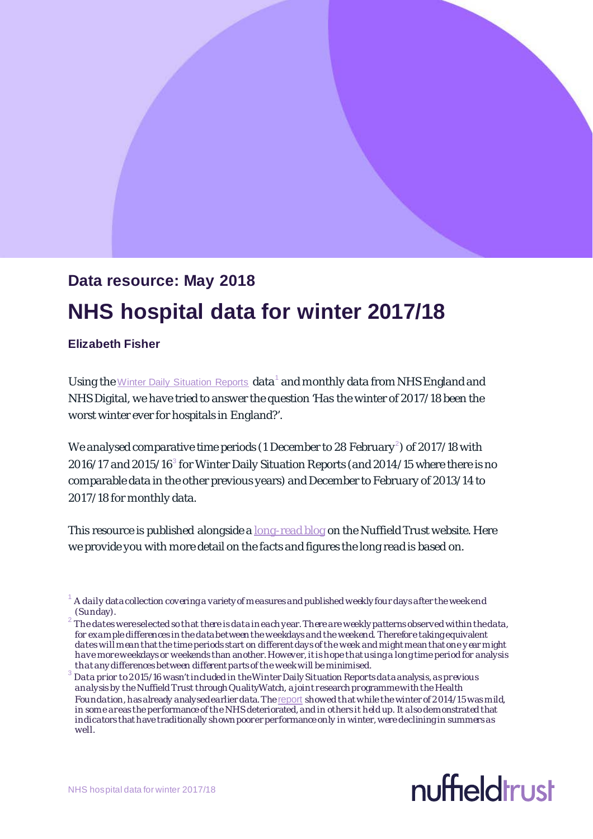# **Data resource: May 2018 NHS hospital data for winter 2017/18**

## **Elizabeth Fisher**

Using the [Winter Daily Situation Reports](https://www.england.nhs.uk/statistics/statistical-work-areas/winter-daily-sitreps/) data<sup>[1](#page-0-0)</sup> and monthly data from NHS England and NHS Digital, we have tried to answer the question 'Has the winter of 2017/18 been the worst winter ever for hospitals in England?'.

We analysed comparative time periods (1 December to [2](#page-0-1)8 February  $^2$ ) of 2017/18 with  $2016/17$  and  $2015/16<sup>3</sup>$  $2015/16<sup>3</sup>$  $2015/16<sup>3</sup>$  for Winter Daily Situation Reports (and  $2014/15$  where there is no comparable data in the other previous years) and December to February of 2013/14 to 2017/18 for monthly data.

This resource is published alongside [a long-read](https://www.nuffieldtrust.org.uk/news-item/winter-2017-18-the-worst-ever-for-the-nhs) blog on the Nuffield Trust website. Here we provide you with more detail on the facts and figures the long read is based on.

<span id="page-0-2"></span>Data prior to 2015/16 wasn't included in the Winter Daily Situation Reports data analysis, as previous analysis by the Nuffield Trust through QualityWatch, a joint research programmewith the Health Foundation, has already analysed earlier data. The **[report](http://www.qualitywatch.org.uk/node/760) showed that while the winter of 2014/15** was mild, in some areas the performance of the NHS deteriorated, and in others it held up. It also demonstrated that indicators that have traditionally shown poorer performance only in winter, were declining in summers as well.



<span id="page-0-0"></span><sup>1</sup> A daily data collection covering a variety of measures and published weekly four days after the week end (Sunday).

<span id="page-0-1"></span><sup>2</sup> The dates were selected so that there is data in each year. There are weekly patterns observed within the data, for example differences in the data between the weekdays and the weekend. Therefore taking equivalent dates will mean that the time periods start on different days of the week and might mean that one y ear might have more weekdays or weekends than another. However, it is hope that using a long time period for analysis that any differences between different parts of the week will be minimised.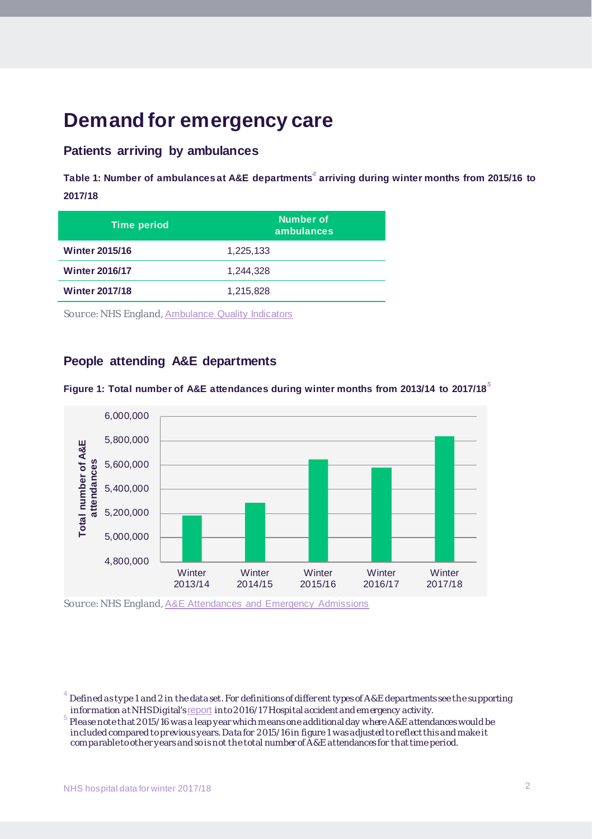## **Demand for emergency care**

## **Patients arriving by ambulances**

**Table 1: Number of ambulances at A&E departments***[4](#page-1-0)* **arriving during winter months from 2015/16 to 2017/18**

| <b>Time period</b>    | Number of<br>ambulances |
|-----------------------|-------------------------|
| <b>Winter 2015/16</b> | 1,225,133               |
| <b>Winter 2016/17</b> | 1,244,328               |
| <b>Winter 2017/18</b> | 1,215,828               |
|                       |                         |

Source: NHS England, [Ambulance Quality Indicators](https://www.england.nhs.uk/statistics/statistical-work-areas/ambulance-quality-indicators/)

## **People attending A&E departments**



**Figure 1: Total number of A&E attendances during winter months from 2013/14 to 2017/18***[5](#page-1-1)*

Source: NHS England, [A&E Attendances and Emergency Admissions](https://www.england.nhs.uk/statistics/statistical-work-areas/ae-waiting-times-and-activity/)

<span id="page-1-0"></span>Defined as type 1 and 2 in the data set. For definitions of different types of A&E departments see the supporting information at NHS Digital's <u>report</u> into 2016/17 Hospital accident and emergency activity.

<span id="page-1-1"></span>Please note that 2015/16 was a leap year which means one additional day where A&E attendances would be included compared to previous years. Data for 2015/16 in figure 1 was adjusted to reflect this and make it comparable to other years and so is not the total number of A&E attendances for that time period.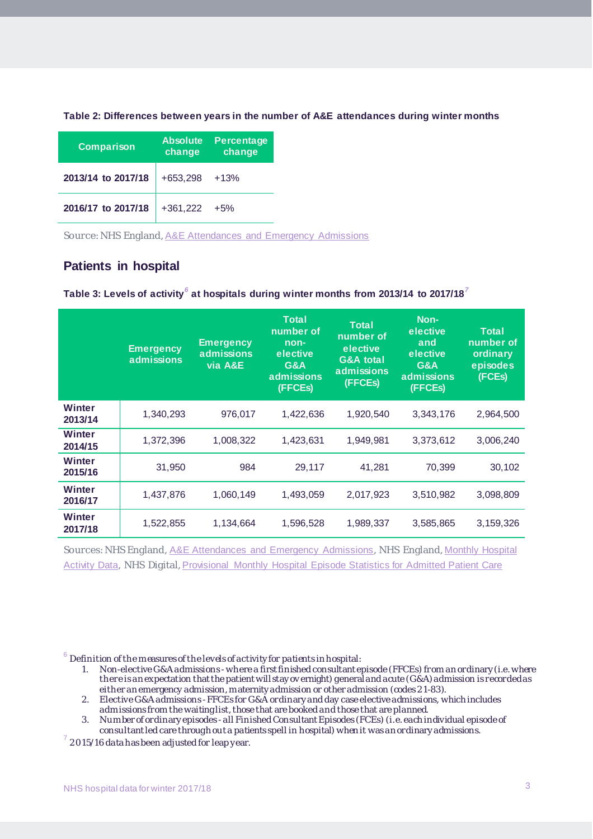| Table 2: Differences between years in the number of A&E attendances during winter months |
|------------------------------------------------------------------------------------------|
|------------------------------------------------------------------------------------------|

| Comparison         | <b>Absolute</b><br>change | <b>Percentage</b><br>change |  |
|--------------------|---------------------------|-----------------------------|--|
| 2013/14 to 2017/18 | $+653,298$                | $+13%$                      |  |
| 2016/17 to 2017/18 | $+361,222$                | $+5%$                       |  |

Source: NHS England, [A&E Attendances and Emergency Admissions](https://www.england.nhs.uk/statistics/statistical-work-areas/ae-waiting-times-and-activity/)

## **Patients in hospital**

#### **Table 3: Levels of activity***[6](#page-2-0)* **at hospitals during winter months from 2013/14 to 2017/18***[7](#page-2-1)*

|                   | <b>Emergency</b><br>admissions | <b>Emergency</b><br>admissions<br>via A&E | <b>Total</b><br>number of<br>non-<br>elective<br>G&A<br>admissions<br>(FFCEs) | <b>Total</b><br>number of<br>elective<br><b>G&amp;A</b> total<br>admissions<br>(FFCEs) | Non-<br>elective<br>and<br>elective<br>G&A<br>admissions<br>(FFCEs) | <b>Total</b><br>number of<br>ordinary<br>episodes<br>(FCEs) |
|-------------------|--------------------------------|-------------------------------------------|-------------------------------------------------------------------------------|----------------------------------------------------------------------------------------|---------------------------------------------------------------------|-------------------------------------------------------------|
| Winter<br>2013/14 | 1,340,293                      | 976,017                                   | 1,422,636                                                                     | 1,920,540                                                                              | 3,343,176                                                           | 2,964,500                                                   |
| Winter<br>2014/15 | 1,372,396                      | 1,008,322                                 | 1,423,631                                                                     | 1,949,981                                                                              | 3,373,612                                                           | 3,006,240                                                   |
| Winter<br>2015/16 | 31,950                         | 984                                       | 29,117                                                                        | 41,281                                                                                 | 70,399                                                              | 30,102                                                      |
| Winter<br>2016/17 | 1,437,876                      | 1,060,149                                 | 1,493,059                                                                     | 2,017,923                                                                              | 3,510,982                                                           | 3,098,809                                                   |
| Winter<br>2017/18 | 1,522,855                      | 1,134,664                                 | 1,596,528                                                                     | 1,989,337                                                                              | 3,585,865                                                           | 3,159,326                                                   |

Sources: NHS England, [A&E Attendances and Emergency Admissions](https://www.england.nhs.uk/statistics/statistical-work-areas/ae-waiting-times-and-activity/), NHS England, [Monthly Hospital](https://www.england.nhs.uk/statistics/statistical-work-areas/hospital-activity/monthly-hospital-activity/mar-data/)  [Activity Data](https://www.england.nhs.uk/statistics/statistical-work-areas/hospital-activity/monthly-hospital-activity/mar-data/), NHS Digital, [Provisional Monthly Hospital Episode Statistics for Admitted Patient Care](https://www.digital.nhs.uk/catalogue/PUB30242)

<span id="page-2-0"></span> $^6$  Definition of the measures of the levels of activity for patients in hospital:

- 1. Non-elective G&Aadmissions -where a first finished consultant episode (FFCEs) from an ordinary (i.e. where there is an expectation that the patient will stay ov ernight) general and acute (G&A) admission is recorded as either an emergency admission, maternity admission or other admission (codes 21-83).
- 2. Elective G&A admissions -FFCEs for G&A ordinary and day case elective admissions, which includes admissions from the waiting list, those that are booked and those that are planned.
- 3. Number of ordinary episodes -all Finished Consultant Episodes (FCEs) (i.e. each individual episode of consultant led care through out a patients spell in hospital) when it was an ordinary admissions. <sup>7</sup> 2015/16 data has been adjusted for leap year.

<span id="page-2-1"></span>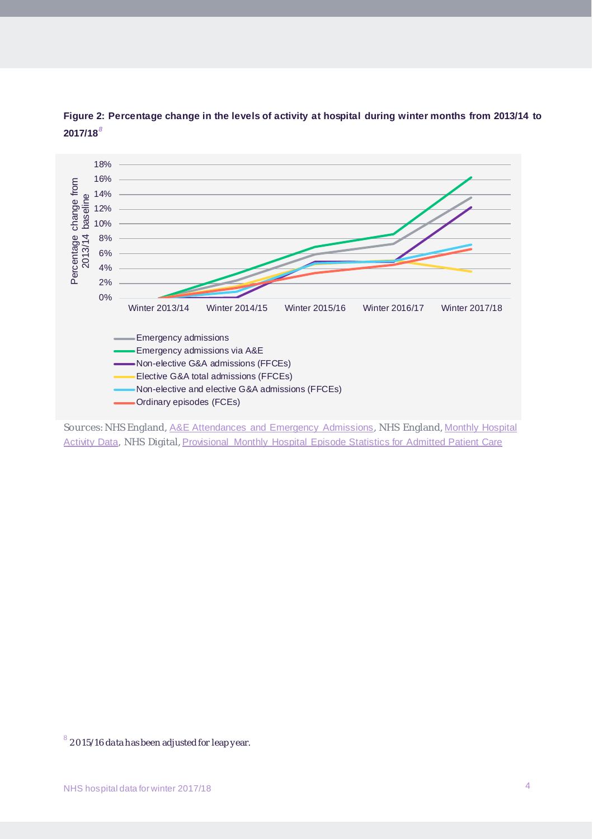

**Figure 2: Percentage change in the levels of activity at hospital during winter months from 2013/14 to 2017/18***[8](#page-3-0)*

Sources: NHS England, [A&E Attendances and Emergency Admissions](https://www.england.nhs.uk/statistics/statistical-work-areas/ae-waiting-times-and-activity/), NHS England, [Monthly Hospital](https://www.england.nhs.uk/statistics/statistical-work-areas/hospital-activity/monthly-hospital-activity/mar-data/)  [Activity Data](https://www.england.nhs.uk/statistics/statistical-work-areas/hospital-activity/monthly-hospital-activity/mar-data/), NHS Digital, [Provisional Monthly Hospital Episode Statistics for Admitted Patient Care](https://www.digital.nhs.uk/catalogue/PUB30242)

<span id="page-3-0"></span> $8\,$  2015/16 data has been adjusted for leap year.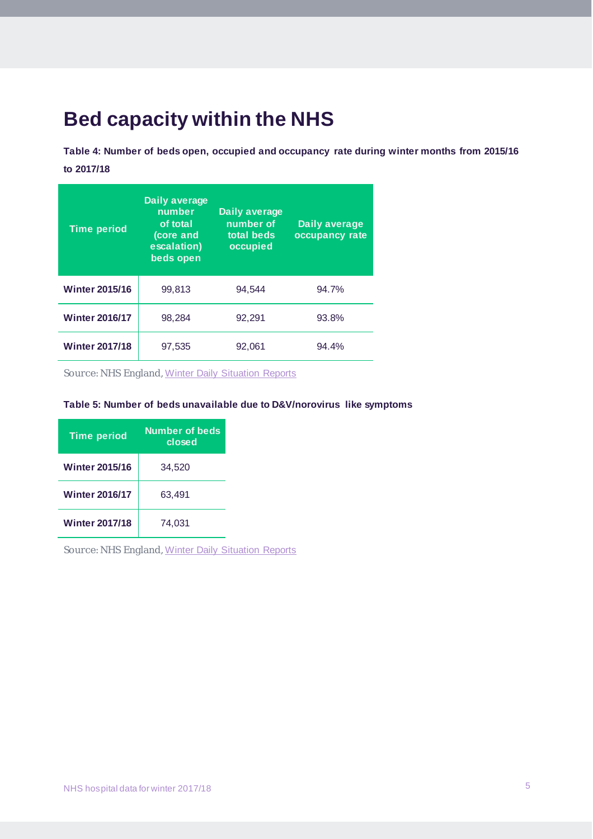# **Bed capacity within the NHS**

**Table 4: Number of beds open, occupied and occupancy rate during winter months from 2015/16 to 2017/18**

| <b>Time period</b>    | Daily average<br>number<br>of total<br>(core and<br>escalation)<br>beds open | Daily average<br>number of<br>total beds<br>occupied | Daily average<br>occupancy rate |
|-----------------------|------------------------------------------------------------------------------|------------------------------------------------------|---------------------------------|
| <b>Winter 2015/16</b> | 99,813                                                                       | 94.544                                               | 94.7%                           |
| <b>Winter 2016/17</b> | 98,284                                                                       | 92,291                                               | 93.8%                           |
| <b>Winter 2017/18</b> | 97,535                                                                       | 92,061                                               | 94.4%                           |

Source: NHS England, [Winter Daily Situation Reports](https://www.england.nhs.uk/statistics/statistical-work-areas/winter-daily-sitreps/)

#### **Table 5: Number of beds unavailable due to D&V/norovirus like symptoms**

| <b>Time period</b>    | Number of beds<br>closed |  |
|-----------------------|--------------------------|--|
| <b>Winter 2015/16</b> | 34.520                   |  |
| <b>Winter 2016/17</b> | 63.491                   |  |
| <b>Winter 2017/18</b> | 74.031                   |  |

Source: NHS England, [Winter Daily Situation Reports](https://www.england.nhs.uk/statistics/statistical-work-areas/winter-daily-sitreps/)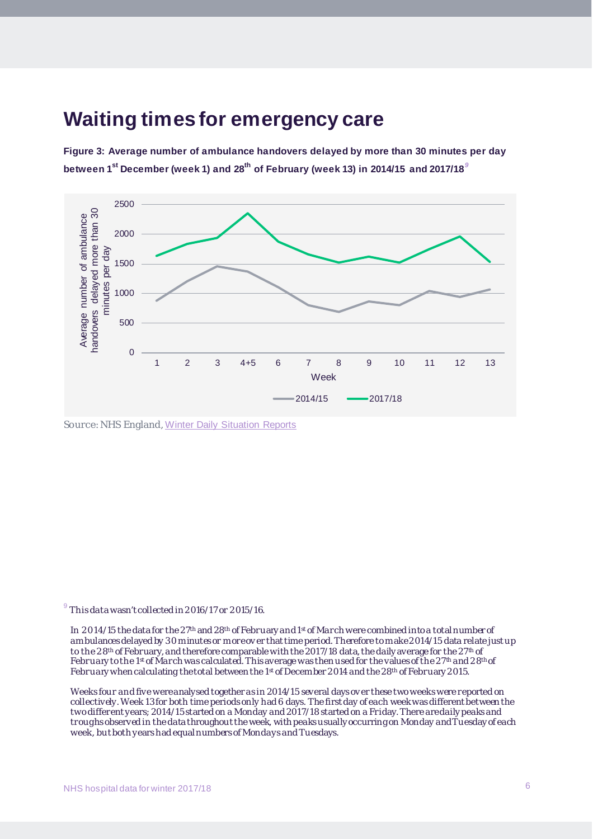## **Waiting times for emergency care**

**Figure 3: Average number of ambulance handovers delayed by more than 30 minutes per day between 1st December (week 1) and 28th of February (week 13) in 2014/15 and 2017/18***[9](#page-5-0)*



Source: NHS England, [Winter Daily Situation Reports](https://www.england.nhs.uk/statistics/statistical-work-areas/winter-daily-sitreps/)

<span id="page-5-0"></span> $^9$  This data wasn't collected in 2016/17 or 2015/16.

In 2014/15 the data for the 27<sup>th</sup> and 28<sup>th</sup> of February and 1<sup>st</sup> of March were combined into a total number of ambulances delayed by 30 minutes or moreov er that time period. Therefore to make 2014/15 data relate just up to the 28<sup>th</sup> of February, and therefore comparable with the 2017/18 data, the daily average for the 27<sup>th</sup> of February to the 1<sup>st</sup> of March was calculated. This average was then used for the values of the 27<sup>th</sup> and 28<sup>th</sup> of February when calculating the total between the 1<sup>st</sup> of December 2014 and the 28<sup>th</sup> of February 2015.

Weeks four and five were analysed together as in 2014/15 several days ov er these two weeks were reported on collectively. Week 13 for both time periods only had 6 days. The first day of each week was different between the two different years; 2014/15 started on a Monday and 2017/18 started on a Friday. There are daily peaks and troughs observed in the data throughout the week, with peaks usually occurring on Monday and Tuesday of each week, but both years had equal numbers of Mondays and Tuesdays.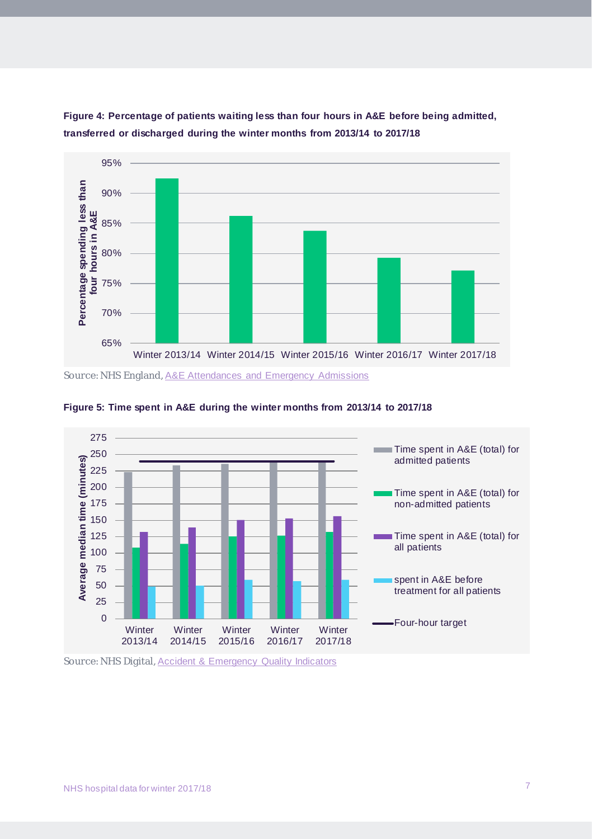

**Figure 4: Percentage of patients waiting less than four hours in A&E before being admitted, transferred or discharged during the winter months from 2013/14 to 2017/18**





Source: NHS Digital, [Accident & Emergency Quality Indicators](https://digital.nhs.uk/search?q=accident+and+emergency+quality+indicators&s=s)

Source: NHS England, [A&E Attendances and Emergency Admissions](https://www.england.nhs.uk/statistics/statistical-work-areas/ae-waiting-times-and-activity/)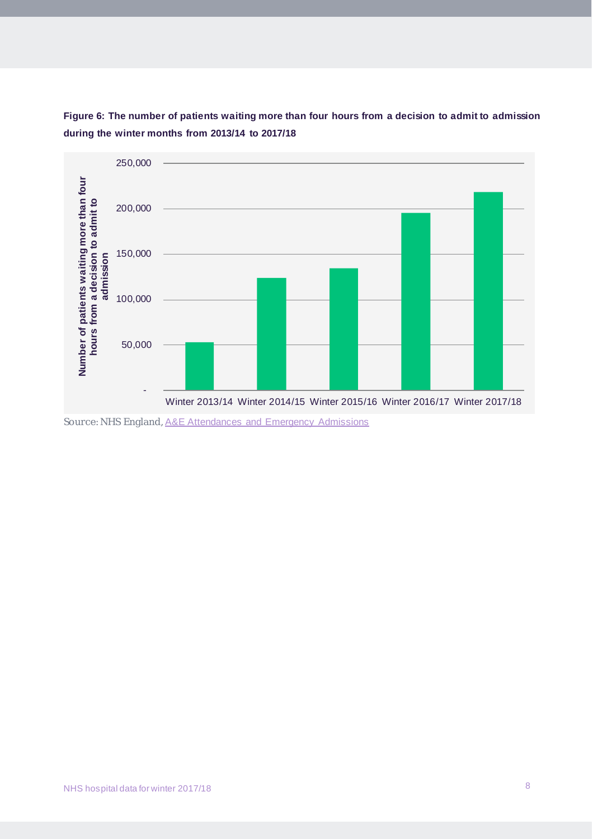

**Figure 6: The number of patients waiting more than four hours from a decision to admit to admission during the winter months from 2013/14 to 2017/18**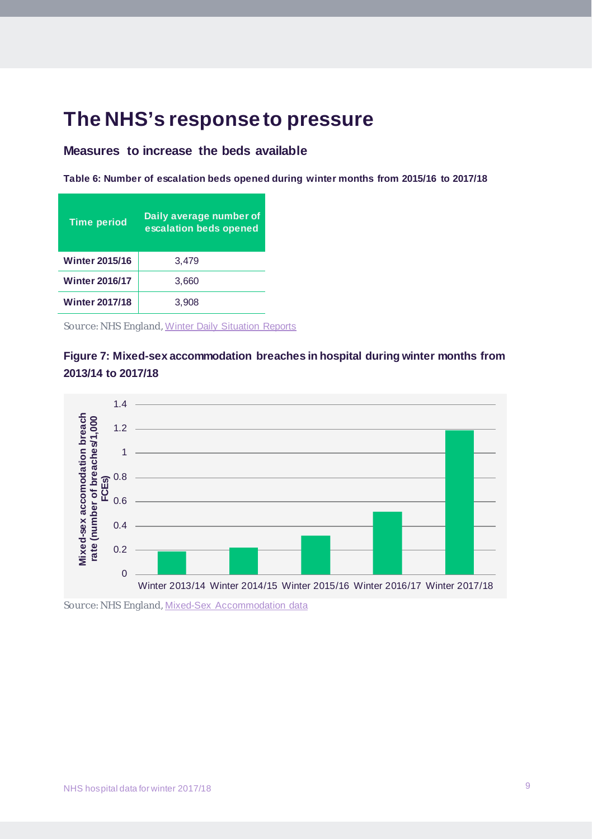## **The NHS's response to pressure**

## **Measures to increase the beds available**

**Table 6: Number of escalation beds opened during winter months from 2015/16 to 2017/18**

| <b>Time period</b>    | Daily average number of<br>escalation beds opened |
|-----------------------|---------------------------------------------------|
| <b>Winter 2015/16</b> | 3,479                                             |
| <b>Winter 2016/17</b> | 3,660                                             |
| <b>Winter 2017/18</b> | 3.908                                             |

Source: NHS England, [Winter Daily Situation Reports](https://www.england.nhs.uk/statistics/statistical-work-areas/winter-daily-sitreps/)





Source: NHS England, [Mixed-Sex Accommodation data](https://www.england.nhs.uk/statistics/statistical-work-areas/mixed-sex-accommodation/)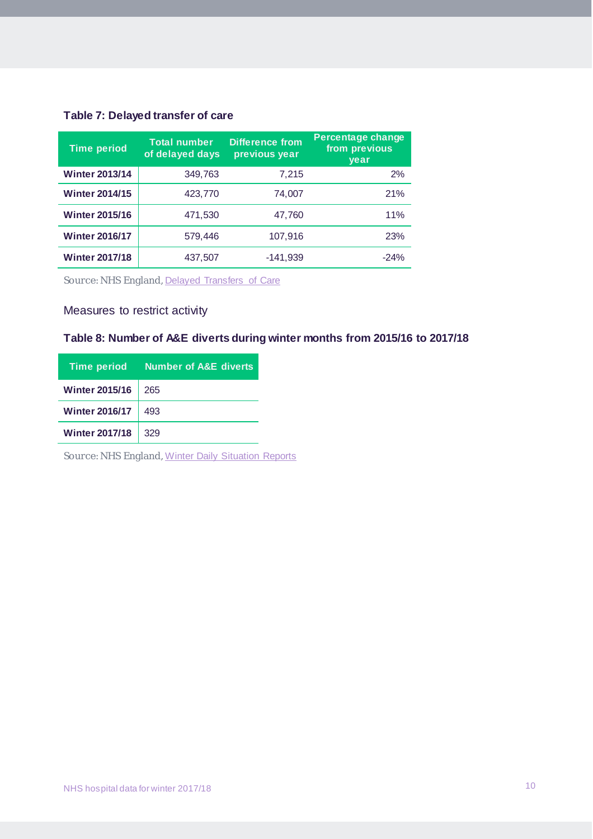## **Table 7: Delayed transfer of care**

| <b>Time period</b>    | <b>Total number</b><br>of delayed days | <b>Difference from</b><br>previous year | <b>Percentage change</b><br>from previous<br>year |
|-----------------------|----------------------------------------|-----------------------------------------|---------------------------------------------------|
| <b>Winter 2013/14</b> | 349,763                                | 7,215                                   | 2%                                                |
| <b>Winter 2014/15</b> | 423,770                                | 74,007                                  | 21%                                               |
| <b>Winter 2015/16</b> | 471,530                                | 47,760                                  | 11%                                               |
| <b>Winter 2016/17</b> | 579,446                                | 107,916                                 | <b>23%</b>                                        |
| <b>Winter 2017/18</b> | 437,507                                | $-141,939$                              | $-24%$                                            |

Source: NHS England, [Delayed Transfers of Care](https://www.england.nhs.uk/statistics/statistical-work-areas/delayed-transfers-of-care/)

## Measures to restrict activity

## **Table 8: Number of A&E diverts during winter months from 2015/16 to 2017/18**

| <b>Time period</b>    | <b>Number of A&amp;E diverts</b> |
|-----------------------|----------------------------------|
| <b>Winter 2015/16</b> | 265                              |
| <b>Winter 2016/17</b> | 493                              |
| <b>Winter 2017/18</b> | 329                              |

Source: NHS England, [Winter Daily Situation Reports](https://www.england.nhs.uk/statistics/statistical-work-areas/winter-daily-sitreps/)